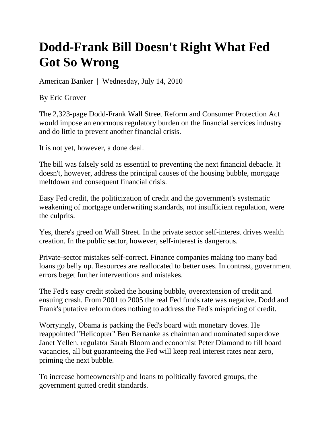## **Dodd-Frank Bill Doesn't Right What Fed Got So Wrong**

American Banker | Wednesday, July 14, 2010

By Eric Grover

The 2,323-page Dodd-Frank Wall Street Reform and Consumer Protection Act would impose an enormous regulatory burden on the financial services industry and do little to prevent another financial crisis.

It is not yet, however, a done deal.

The bill was falsely sold as essential to preventing the next financial debacle. It doesn't, however, address the principal causes of the housing bubble, mortgage meltdown and consequent financial crisis.

Easy Fed credit, the politicization of credit and the government's systematic weakening of mortgage underwriting standards, not insufficient regulation, were the culprits.

Yes, there's greed on Wall Street. In the private sector self-interest drives wealth creation. In the public sector, however, self-interest is dangerous.

Private-sector mistakes self-correct. Finance companies making too many bad loans go belly up. Resources are reallocated to better uses. In contrast, government errors beget further interventions and mistakes.

The Fed's easy credit stoked the housing bubble, overextension of credit and ensuing crash. From 2001 to 2005 the real Fed funds rate was negative. Dodd and Frank's putative reform does nothing to address the Fed's mispricing of credit.

Worryingly, Obama is packing the Fed's board with monetary doves. He reappointed "Helicopter" Ben Bernanke as chairman and nominated superdove Janet Yellen, regulator Sarah Bloom and economist Peter Diamond to fill board vacancies, all but guaranteeing the Fed will keep real interest rates near zero, priming the next bubble.

To increase homeownership and loans to politically favored groups, the government gutted credit standards.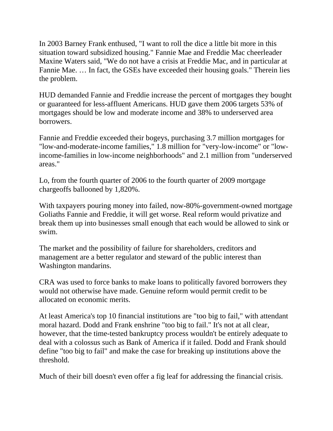In 2003 Barney Frank enthused, "I want to roll the dice a little bit more in this situation toward subsidized housing." Fannie Mae and Freddie Mac cheerleader Maxine Waters said, "We do not have a crisis at Freddie Mac, and in particular at Fannie Mae. … In fact, the GSEs have exceeded their housing goals." Therein lies the problem.

HUD demanded Fannie and Freddie increase the percent of mortgages they bought or guaranteed for less-affluent Americans. HUD gave them 2006 targets 53% of mortgages should be low and moderate income and 38% to underserved area borrowers.

Fannie and Freddie exceeded their bogeys, purchasing 3.7 million mortgages for "low-and-moderate-income families," 1.8 million for "very-low-income" or "lowincome-families in low-income neighborhoods" and 2.1 million from "underserved areas."

Lo, from the fourth quarter of 2006 to the fourth quarter of 2009 mortgage chargeoffs ballooned by 1,820%.

With taxpayers pouring money into failed, now-80%-government-owned mortgage Goliaths Fannie and Freddie, it will get worse. Real reform would privatize and break them up into businesses small enough that each would be allowed to sink or swim.

The market and the possibility of failure for shareholders, creditors and management are a better regulator and steward of the public interest than Washington mandarins.

CRA was used to force banks to make loans to politically favored borrowers they would not otherwise have made. Genuine reform would permit credit to be allocated on economic merits.

At least America's top 10 financial institutions are "too big to fail," with attendant moral hazard. Dodd and Frank enshrine "too big to fail." It's not at all clear, however, that the time-tested bankruptcy process wouldn't be entirely adequate to deal with a colossus such as Bank of America if it failed. Dodd and Frank should define "too big to fail" and make the case for breaking up institutions above the threshold.

Much of their bill doesn't even offer a fig leaf for addressing the financial crisis.